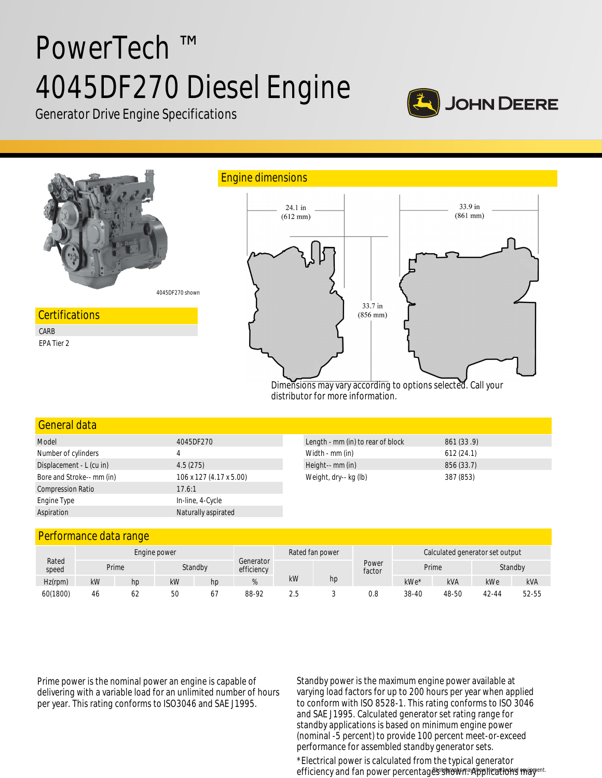# PowerTech ™ 4045DF270 Diesel Engine



Generator Drive Engine Specifications



distributor for more information.

| General data              |                         |                                   |            |
|---------------------------|-------------------------|-----------------------------------|------------|
| Model                     | 4045DF270               | Length - mm (in) to rear of block | 861 (33.9) |
| Number of cylinders       | 4                       | Width - mm (in)                   | 612(24.1)  |
| Displacement - L (cu in)  | 4.5(275)                | Height-- mm (in)                  | 856 (33.7) |
| Bore and Stroke-- mm (in) | 106 x 127 (4.17 x 5.00) | Weight, dry-- kg (lb)             | 387 (853)  |
| <b>Compression Ratio</b>  | 17.6:1                  |                                   |            |
| Engine Type               | In-line, 4-Cycle        |                                   |            |
| Aspiration                | Naturally aspirated     |                                   |            |

## Performance data range

|                | Engine power |                  |    |                         | Rated fan power |     |                 | Calculated generator set output |       |         |       |            |
|----------------|--------------|------------------|----|-------------------------|-----------------|-----|-----------------|---------------------------------|-------|---------|-------|------------|
| Rated<br>speed |              | Standby<br>Prime |    | Generator<br>efficiency |                 |     | Power<br>factor | Prime                           |       | Standby |       |            |
| $Hz$ (rpm)     | kW           | hp               | kW | hp                      | %               | kW  | hp              |                                 | kWe*  | kVA     | kWe   | <b>kVA</b> |
| 60(1800)       | -46          | 62               | 50 | 67                      | 88-92           | 2.5 |                 | 0.8                             | 38-40 | 48-50   | 42-44 | 52-55      |

Prime power is the nominal power an engine is capable of delivering with a variable load for an unlimited number of hours per year. This rating conforms to ISO3046 and SAE J1995.

Standby power is the maximum engine power available at varying load factors for up to 200 hours per year when applied to conform with ISO 8528-1. This rating conforms to ISO 3046 and SAE J1995. Calculated generator set rating range for standby applications is based on minimum engine power (nominal -5 percent) to provide 100 percent meet-or-exceed performance for assembled standby generator sets.

efficiency and fan power percentages shown. Applications may<sup>ent.</sup> \*Electrical power is calculated from the typical generator